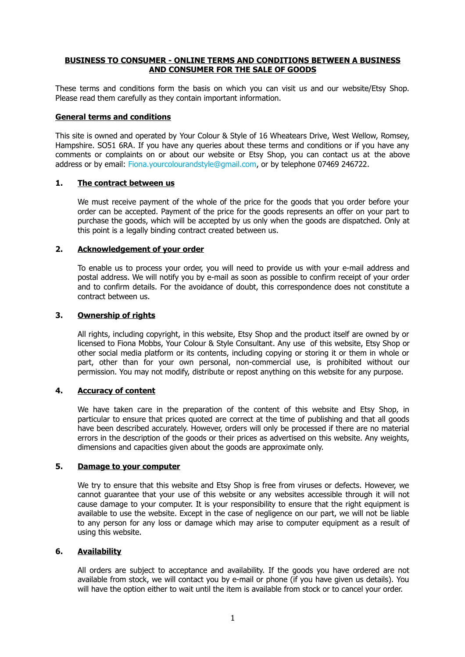#### **BUSINESS TO CONSUMER - ONLINE TERMS AND CONDITIONS BETWEEN A BUSINESS AND CONSUMER FOR THE SALE OF GOODS**

These terms and conditions form the basis on which you can visit us and our website/Etsy Shop. Please read them carefully as they contain important information.

#### **General terms and conditions**

This site is owned and operated by Your Colour & Style of 16 Wheatears Drive, West Wellow, Romsey, Hampshire. SO51 6RA. If you have any queries about these terms and conditions or if you have any comments or complaints on or about our website or Etsy Shop, you can contact us at the above address or by email: [Fiona.yourcolourandstyle@gmail.com,](mailto:Fiona.yourcolourandstyle@gmail.com) or by telephone 07469 246722.

# **1. The contract between us**

We must receive payment of the whole of the price for the goods that you order before your order can be accepted. Payment of the price for the goods represents an offer on your part to purchase the goods, which will be accepted by us only when the goods are dispatched. Only at this point is a legally binding contract created between us.

#### **2. Acknowledgement of your order**

To enable us to process your order, you will need to provide us with your e-mail address and postal address. We will notify you by e-mail as soon as possible to confirm receipt of your order and to confirm details. For the avoidance of doubt, this correspondence does not constitute a contract between us.

#### **3. Ownership of rights**

All rights, including copyright, in this website, Etsy Shop and the product itself are owned by or licensed to Fiona Mobbs, Your Colour & Style Consultant. Any use of this website, Etsy Shop or other social media platform or its contents, including copying or storing it or them in whole or part, other than for your own personal, non-commercial use, is prohibited without our permission. You may not modify, distribute or repost anything on this website for any purpose.

#### **4. Accuracy of content**

We have taken care in the preparation of the content of this website and Etsy Shop, in particular to ensure that prices quoted are correct at the time of publishing and that all goods have been described accurately. However, orders will only be processed if there are no material errors in the description of the goods or their prices as advertised on this website. Any weights, dimensions and capacities given about the goods are approximate only.

#### **5. Damage to your computer**

We try to ensure that this website and Etsy Shop is free from viruses or defects. However, we cannot guarantee that your use of this website or any websites accessible through it will not cause damage to your computer. It is your responsibility to ensure that the right equipment is available to use the website. Except in the case of negligence on our part, we will not be liable to any person for any loss or damage which may arise to computer equipment as a result of using this website.

#### **6. Availability**

All orders are subject to acceptance and availability. If the goods you have ordered are not available from stock, we will contact you by e-mail or phone (if you have given us details). You will have the option either to wait until the item is available from stock or to cancel your order.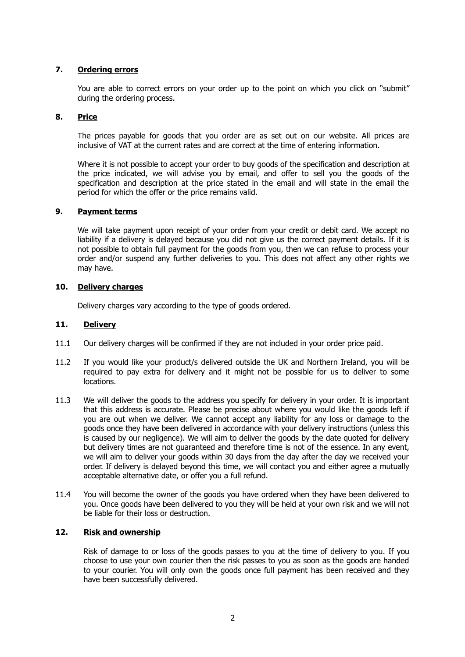# **7. Ordering errors**

You are able to correct errors on your order up to the point on which you click on "submit" during the ordering process.

## **8. Price**

The prices payable for goods that you order are as set out on our website. All prices are inclusive of VAT at the current rates and are correct at the time of entering information.

Where it is not possible to accept your order to buy goods of the specification and description at the price indicated, we will advise you by email, and offer to sell you the goods of the specification and description at the price stated in the email and will state in the email the period for which the offer or the price remains valid.

# **9. Payment terms**

We will take payment upon receipt of your order from your credit or debit card. We accept no liability if a delivery is delayed because you did not give us the correct payment details. If it is not possible to obtain full payment for the goods from you, then we can refuse to process your order and/or suspend any further deliveries to you. This does not affect any other rights we may have.

## **10. Delivery charges**

Delivery charges vary according to the type of goods ordered.

#### **11. Delivery**

- 11.1 Our delivery charges will be confirmed if they are not included in your order price paid.
- 11.2 If you would like your product/s delivered outside the UK and Northern Ireland, you will be required to pay extra for delivery and it might not be possible for us to deliver to some locations.
- 11.3 We will deliver the goods to the address you specify for delivery in your order. It is important that this address is accurate. Please be precise about where you would like the goods left if you are out when we deliver. We cannot accept any liability for any loss or damage to the goods once they have been delivered in accordance with your delivery instructions (unless this is caused by our negligence). We will aim to deliver the goods by the date quoted for delivery but delivery times are not guaranteed and therefore time is not of the essence. In any event, we will aim to deliver your goods within 30 days from the day after the day we received your order. If delivery is delayed beyond this time, we will contact you and either agree a mutually acceptable alternative date, or offer you a full refund.
- 11.4 You will become the owner of the goods you have ordered when they have been delivered to you. Once goods have been delivered to you they will be held at your own risk and we will not be liable for their loss or destruction.

# **12. Risk and ownership**

Risk of damage to or loss of the goods passes to you at the time of delivery to you. If you choose to use your own courier then the risk passes to you as soon as the goods are handed to your courier. You will only own the goods once full payment has been received and they have been successfully delivered.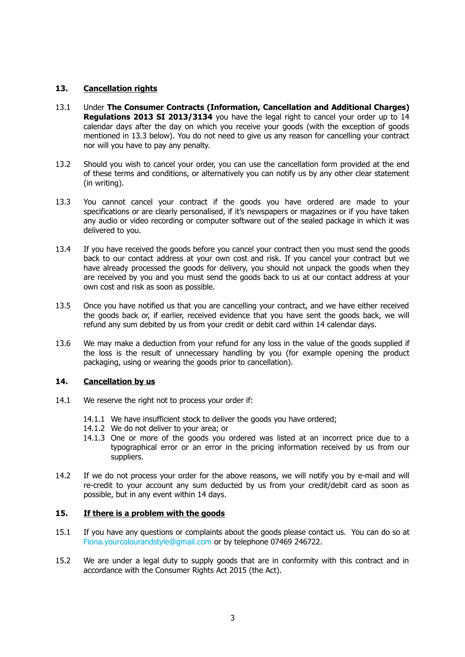## **13. Cancellation rights**

- 13.1 Under **The Consumer Contracts (Information, Cancellation and Additional Charges) Regulations 2013 SI 2013/3134** you have the legal right to cancel your order up to 14 calendar days after the day on which you receive your goods (with the exception of goods mentioned in 13.3 below). You do not need to give us any reason for cancelling your contract nor will you have to pay any penalty.
- 13.2 Should you wish to cancel your order, you can use the cancellation form provided at the end of these terms and conditions, or alternatively you can notify us by any other clear statement (in writing).
- 13.3 You cannot cancel your contract if the goods you have ordered are made to your specifications or are clearly personalised, if it's newspapers or magazines or if you have taken any audio or video recording or computer software out of the sealed package in which it was delivered to you.
- 13.4 If you have received the goods before you cancel your contract then you must send the goods back to our contact address at your own cost and risk. If you cancel your contract but we have already processed the goods for delivery, you should not unpack the goods when they are received by you and you must send the goods back to us at our contact address at your own cost and risk as soon as possible.
- 13.5 Once you have notified us that you are cancelling your contract, and we have either received the goods back or, if earlier, received evidence that you have sent the goods back, we will refund any sum debited by us from your credit or debit card within 14 calendar days.
- 13.6 We may make a deduction from your refund for any loss in the value of the goods supplied if the loss is the result of unnecessary handling by you (for example opening the product packaging, using or wearing the goods prior to cancellation).

#### **14. Cancellation by us**

- 14.1 We reserve the right not to process your order if:
	- 14.1.1 We have insufficient stock to deliver the goods you have ordered;
	- 14.1.2 We do not deliver to your area; or
	- 14.1.3 One or more of the goods you ordered was listed at an incorrect price due to a typographical error or an error in the pricing information received by us from our suppliers.
- 14.2 If we do not process your order for the above reasons, we will notify you by e-mail and will re-credit to your account any sum deducted by us from your credit/debit card as soon as possible, but in any event within 14 days.

### **15. If there is a problem with the goods**

- 15.1 If you have any questions or complaints about the goods please contact us. You can do so at [Fiona.yourcolourandstyle@gmail.com](mailto:Fiona.yourcolourandstyle@gmail.com) or by telephone 07469 246722.
- 15.2 We are under a legal duty to supply goods that are in conformity with this contract and in accordance with the Consumer Rights Act 2015 (the Act).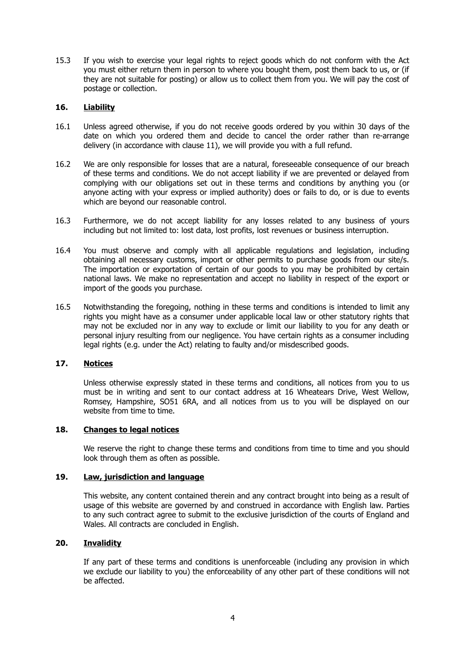15.3 If you wish to exercise your legal rights to reject goods which do not conform with the Act you must either return them in person to where you bought them, post them back to us, or (if they are not suitable for posting) or allow us to collect them from you. We will pay the cost of postage or collection.

# **16. Liability**

- 16.1 Unless agreed otherwise, if you do not receive goods ordered by you within 30 days of the date on which you ordered them and decide to cancel the order rather than re-arrange delivery (in accordance with clause 11), we will provide you with a full refund.
- 16.2 We are only responsible for losses that are a natural, foreseeable consequence of our breach of these terms and conditions. We do not accept liability if we are prevented or delayed from complying with our obligations set out in these terms and conditions by anything you (or anyone acting with your express or implied authority) does or fails to do, or is due to events which are beyond our reasonable control.
- 16.3 Furthermore, we do not accept liability for any losses related to any business of yours including but not limited to: lost data, lost profits, lost revenues or business interruption.
- 16.4 You must observe and comply with all applicable regulations and legislation, including obtaining all necessary customs, import or other permits to purchase goods from our site/s. The importation or exportation of certain of our goods to you may be prohibited by certain national laws. We make no representation and accept no liability in respect of the export or import of the goods you purchase.
- 16.5 Notwithstanding the foregoing, nothing in these terms and conditions is intended to limit any rights you might have as a consumer under applicable local law or other statutory rights that may not be excluded nor in any way to exclude or limit our liability to you for any death or personal injury resulting from our negligence. You have certain rights as a consumer including legal rights (e.g. under the Act) relating to faulty and/or misdescribed goods.

### **17. Notices**

Unless otherwise expressly stated in these terms and conditions, all notices from you to us must be in writing and sent to our contact address at 16 Wheatears Drive, West Wellow, Romsey, Hampshire, SO51 6RA, and all notices from us to you will be displayed on our website from time to time.

#### **18. Changes to legal notices**

We reserve the right to change these terms and conditions from time to time and you should look through them as often as possible.

# **19. Law, jurisdiction and language**

This website, any content contained therein and any contract brought into being as a result of usage of this website are governed by and construed in accordance with English law. Parties to any such contract agree to submit to the exclusive jurisdiction of the courts of England and Wales. All contracts are concluded in English.

### **20. Invalidity**

If any part of these terms and conditions is unenforceable (including any provision in which we exclude our liability to you) the enforceability of any other part of these conditions will not be affected.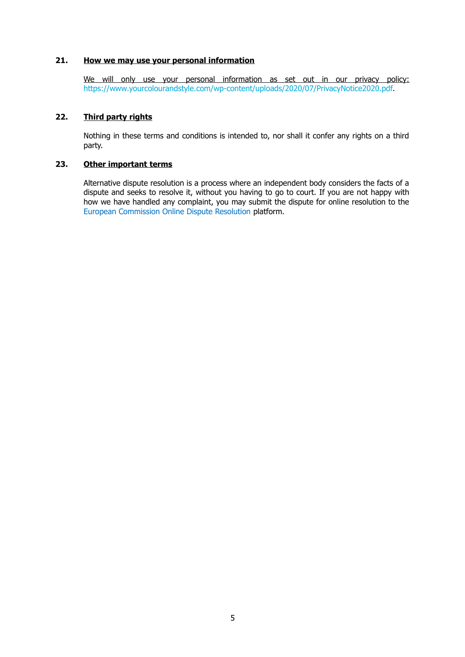# **21. How we may use your personal information**

We will only use your personal information as set out in our privacy policy: [https://www.yourcolourandstyle.com/wp-content/uploads/2020/07/PrivacyNotice2020.pdf.](https://www.yourcolourandstyle.com/wp-content/uploads/2020/07/PrivacyNotice2020.pdf)

# **22. Third party rights**

Nothing in these terms and conditions is intended to, nor shall it confer any rights on a third party.

# **23. Other important terms**

Alternative dispute resolution is a process where an independent body considers the facts of a dispute and seeks to resolve it, without you having to go to court. If you are not happy with how we have handled any complaint, you may submit the dispute for online resolution to the [European Commission Online Dispute Resolution](https://ec.europa.eu/consumers/odr/main/index.cfm?event=main.home.show&lng=EN) platform.